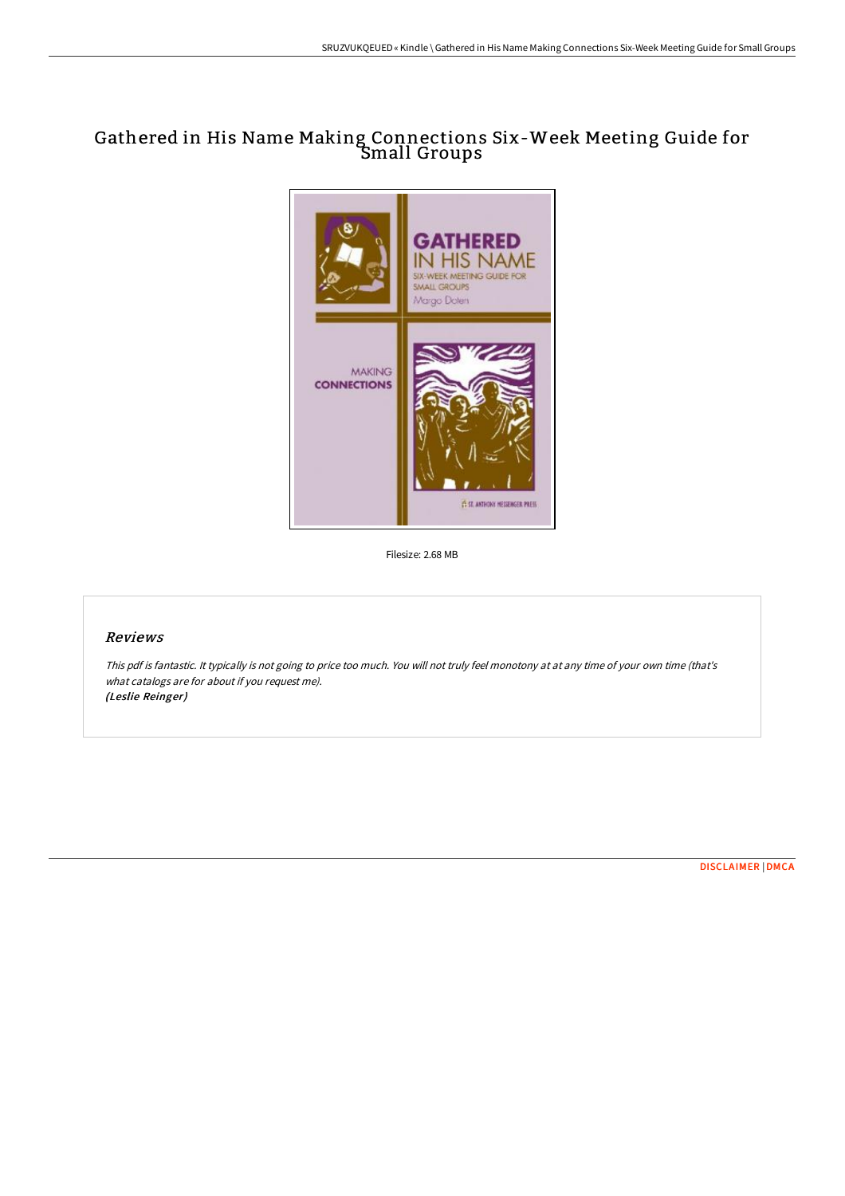# Gathered in His Name Making Connections Six-Week Meeting Guide for Small Groups



Filesize: 2.68 MB

### Reviews

This pdf is fantastic. It typically is not going to price too much. You will not truly feel monotony at at any time of your own time (that's what catalogs are for about if you request me). (Leslie Reinger)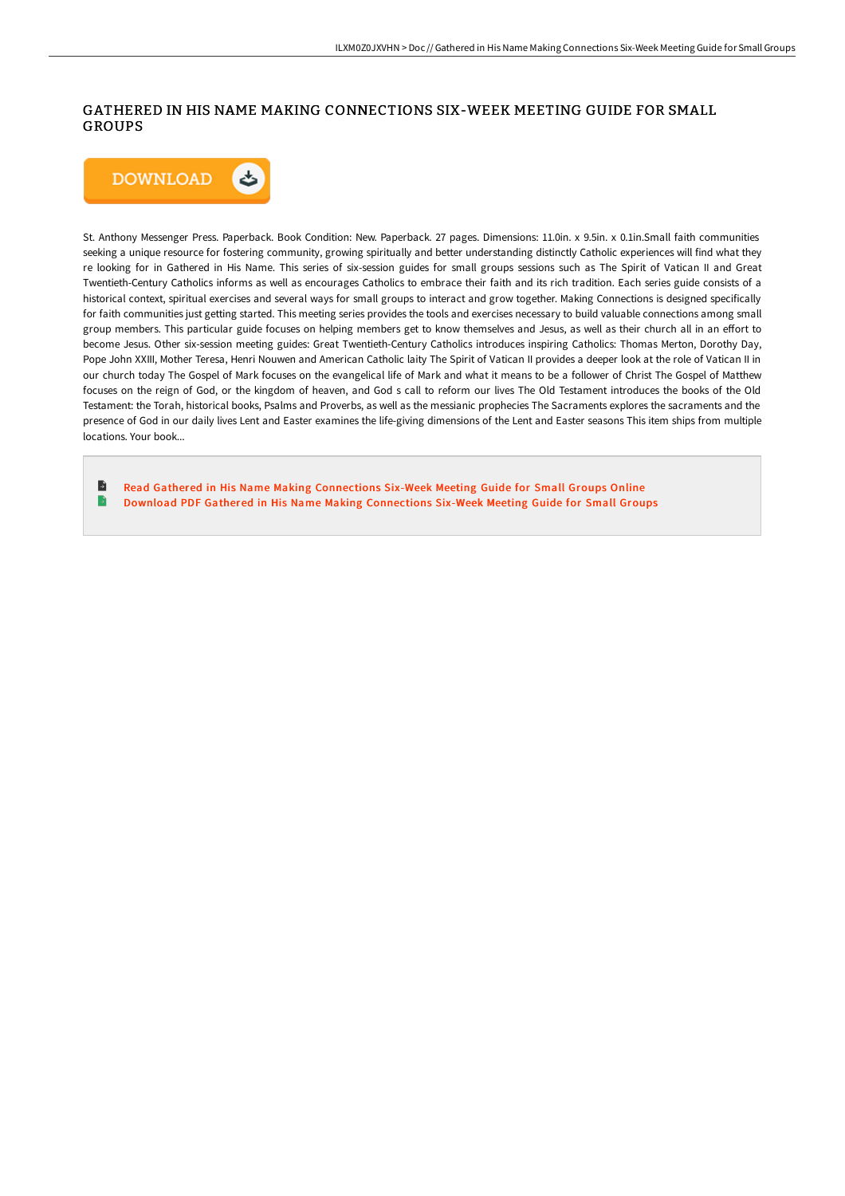## GATHERED IN HIS NAME MAKING CONNECTIONS SIX-WEEK MEETING GUIDE FOR SMALL GROUPS



St. Anthony Messenger Press. Paperback. Book Condition: New. Paperback. 27 pages. Dimensions: 11.0in. x 9.5in. x 0.1in.Small faith communities seeking a unique resource for fostering community, growing spiritually and better understanding distinctly Catholic experiences will find what they re looking for in Gathered in His Name. This series of six-session guides for small groups sessions such as The Spirit of Vatican II and Great Twentieth-Century Catholics informs as well as encourages Catholics to embrace their faith and its rich tradition. Each series guide consists of a historical context, spiritual exercises and several ways for small groups to interact and grow together. Making Connections is designed specifically for faith communities just getting started. This meeting series provides the tools and exercises necessary to build valuable connections among small group members. This particular guide focuses on helping members get to know themselves and Jesus, as well as their church all in an effort to become Jesus. Other six-session meeting guides: Great Twentieth-Century Catholics introduces inspiring Catholics: Thomas Merton, Dorothy Day, Pope John XXIII, Mother Teresa, Henri Nouwen and American Catholic laity The Spirit of Vatican II provides a deeper look at the role of Vatican II in our church today The Gospel of Mark focuses on the evangelical life of Mark and what it means to be a follower of Christ The Gospel of Matthew focuses on the reign of God, or the kingdom of heaven, and God s call to reform our lives The Old Testament introduces the books of the Old Testament: the Torah, historical books, Psalms and Proverbs, as well as the messianic prophecies The Sacraments explores the sacraments and the presence of God in our daily lives Lent and Easter examines the life-giving dimensions of the Lent and Easter seasons This item ships from multiple locations. Your book...

B Read Gathered in His Name Making [Connections](http://albedo.media/gathered-in-his-name-making-connections-six-week.html) Six-Week Meeting Guide for Small Groups Online  $\rightarrow$ Download PDF Gathered in His Name Making [Connections](http://albedo.media/gathered-in-his-name-making-connections-six-week.html) Six-Week Meeting Guide for Small Groups